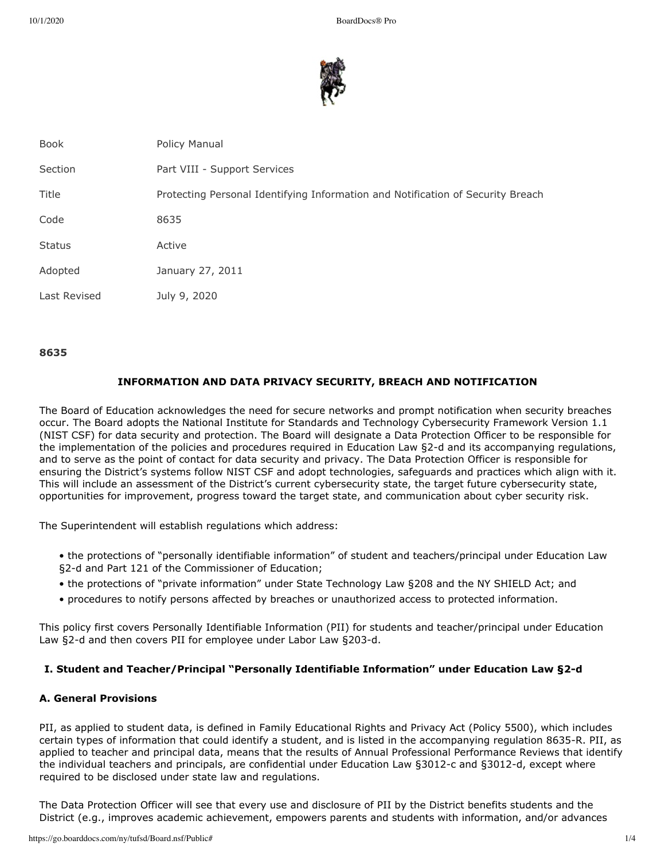

| <b>Book</b>   | Policy Manual                                                                   |
|---------------|---------------------------------------------------------------------------------|
| Section       | Part VIII - Support Services                                                    |
| Title         | Protecting Personal Identifying Information and Notification of Security Breach |
| Code          | 8635                                                                            |
| <b>Status</b> | Active                                                                          |
| Adopted       | January 27, 2011                                                                |
| Last Revised  | July 9, 2020                                                                    |

#### **8635**

# **INFORMATION AND DATA PRIVACY SECURITY, BREACH AND NOTIFICATION**

The Board of Education acknowledges the need for secure networks and prompt notification when security breaches occur. The Board adopts the National Institute for Standards and Technology Cybersecurity Framework Version 1.1 (NIST CSF) for data security and protection. The Board will designate a Data Protection Officer to be responsible for the implementation of the policies and procedures required in Education Law §2-d and its accompanying regulations, and to serve as the point of contact for data security and privacy. The Data Protection Officer is responsible for ensuring the District's systems follow NIST CSF and adopt technologies, safeguards and practices which align with it. This will include an assessment of the District's current cybersecurity state, the target future cybersecurity state, opportunities for improvement, progress toward the target state, and communication about cyber security risk.

The Superintendent will establish regulations which address:

- the protections of "personally identifiable information" of student and teachers/principal under Education Law §2-d and Part 121 of the Commissioner of Education;
- the protections of "private information" under State Technology Law §208 and the NY SHIELD Act; and
- procedures to notify persons affected by breaches or unauthorized access to protected information.

This policy first covers Personally Identifiable Information (PII) for students and teacher/principal under Education Law §2-d and then covers PII for employee under Labor Law §203-d.

## **I. Student and Teacher/Principal "Personally Identifiable Information" under Education Law §2-d**

# **A. General Provisions**

PII, as applied to student data, is defined in Family Educational Rights and Privacy Act (Policy 5500), which includes certain types of information that could identify a student, and is listed in the accompanying regulation 8635-R. PII, as applied to teacher and principal data, means that the results of Annual Professional Performance Reviews that identify the individual teachers and principals, are confidential under Education Law §3012-c and §3012-d, except where required to be disclosed under state law and regulations.

The Data Protection Officer will see that every use and disclosure of PII by the District benefits students and the District (e.g., improves academic achievement, empowers parents and students with information, and/or advances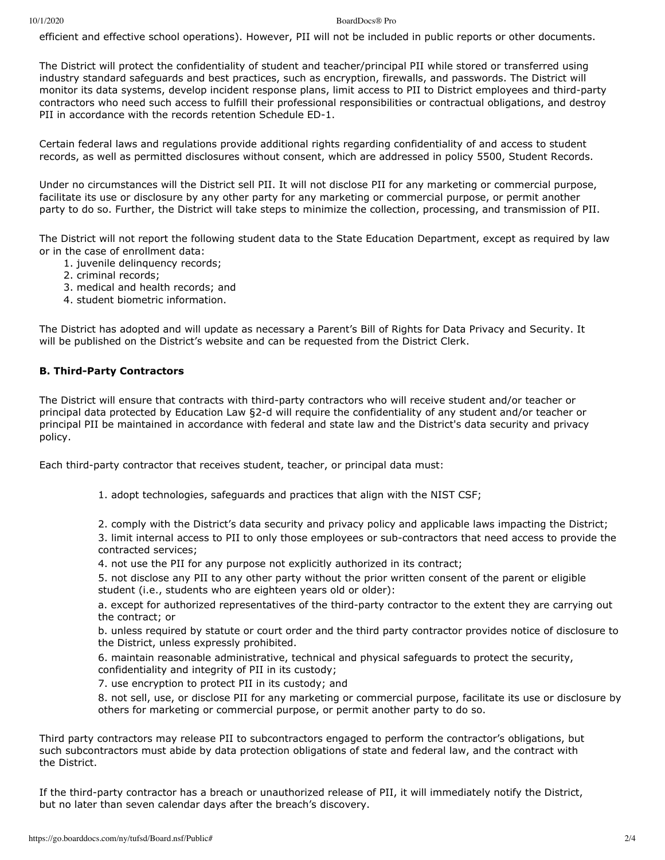#### 10/1/2020 BoardDocs® Pro

efficient and effective school operations). However, PII will not be included in public reports or other documents.

The District will protect the confidentiality of student and teacher/principal PII while stored or transferred using industry standard safeguards and best practices, such as encryption, firewalls, and passwords. The District will monitor its data systems, develop incident response plans, limit access to PII to District employees and third-party contractors who need such access to fulfill their professional responsibilities or contractual obligations, and destroy PII in accordance with the records retention Schedule ED-1.

Certain federal laws and regulations provide additional rights regarding confidentiality of and access to student records, as well as permitted disclosures without consent, which are addressed in policy 5500, Student Records.

Under no circumstances will the District sell PII. It will not disclose PII for any marketing or commercial purpose, facilitate its use or disclosure by any other party for any marketing or commercial purpose, or permit another party to do so. Further, the District will take steps to minimize the collection, processing, and transmission of PII.

The District will not report the following student data to the State Education Department, except as required by law or in the case of enrollment data:

- 1. juvenile delinquency records;
- 2. criminal records;
- 3. medical and health records; and
- 4. student biometric information.

The District has adopted and will update as necessary a Parent's Bill of Rights for Data Privacy and Security. It will be published on the District's website and can be requested from the District Clerk.

## **B. Third-Party Contractors**

The District will ensure that contracts with third-party contractors who will receive student and/or teacher or principal data protected by Education Law §2-d will require the confidentiality of any student and/or teacher or principal PII be maintained in accordance with federal and state law and the District's data security and privacy policy.

Each third-party contractor that receives student, teacher, or principal data must:

1. adopt technologies, safeguards and practices that align with the NIST CSF;

2. comply with the District's data security and privacy policy and applicable laws impacting the District; 3. limit internal access to PII to only those employees or sub-contractors that need access to provide the contracted services;

- 4. not use the PII for any purpose not explicitly authorized in its contract;
- 5. not disclose any PII to any other party without the prior written consent of the parent or eligible student (i.e., students who are eighteen years old or older):

a. except for authorized representatives of the third-party contractor to the extent they are carrying out the contract; or

b. unless required by statute or court order and the third party contractor provides notice of disclosure to the District, unless expressly prohibited.

6. maintain reasonable administrative, technical and physical safeguards to protect the security, confidentiality and integrity of PII in its custody;

7. use encryption to protect PII in its custody; and

8. not sell, use, or disclose PII for any marketing or commercial purpose, facilitate its use or disclosure by others for marketing or commercial purpose, or permit another party to do so.

Third party contractors may release PII to subcontractors engaged to perform the contractor's obligations, but such subcontractors must abide by data protection obligations of state and federal law, and the contract with the District.

If the third-party contractor has a breach or unauthorized release of PII, it will immediately notify the District, but no later than seven calendar days after the breach's discovery.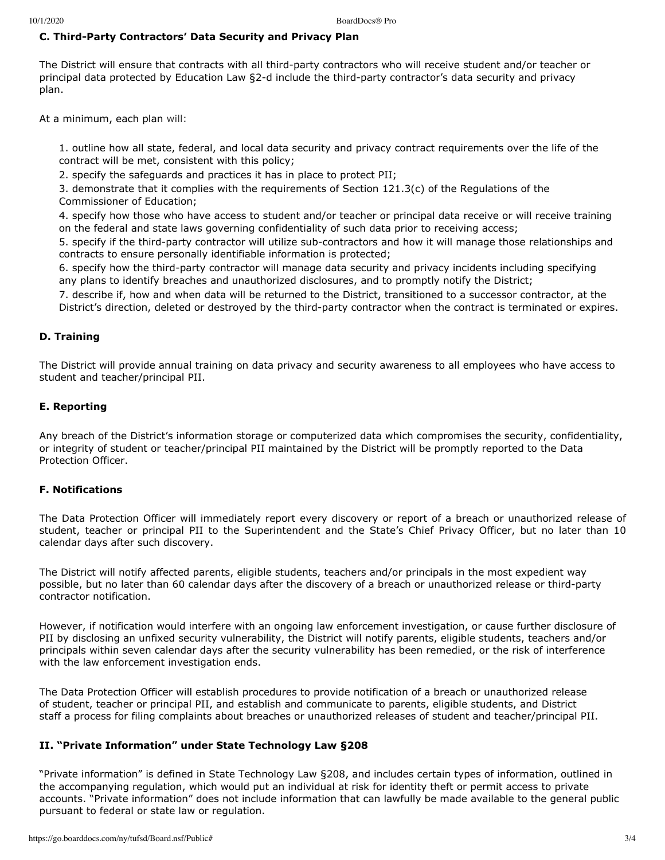# **C. Third-Party Contractors' Data Security and Privacy Plan**

The District will ensure that contracts with all third-party contractors who will receive student and/or teacher or principal data protected by Education Law §2-d include the third-party contractor's data security and privacy plan.

At a minimum, each plan will:

1. outline how all state, federal, and local data security and privacy contract requirements over the life of the contract will be met, consistent with this policy;

2. specify the safeguards and practices it has in place to protect PII;

3. demonstrate that it complies with the requirements of Section 121.3(c) of the Regulations of the Commissioner of Education;

4. specify how those who have access to student and/or teacher or principal data receive or will receive training on the federal and state laws governing confidentiality of such data prior to receiving access;

5. specify if the third-party contractor will utilize sub-contractors and how it will manage those relationships and contracts to ensure personally identifiable information is protected;

6. specify how the third-party contractor will manage data security and privacy incidents including specifying any plans to identify breaches and unauthorized disclosures, and to promptly notify the District;

7. describe if, how and when data will be returned to the District, transitioned to a successor contractor, at the District's direction, deleted or destroyed by the third-party contractor when the contract is terminated or expires.

## **D. Training**

The District will provide annual training on data privacy and security awareness to all employees who have access to student and teacher/principal PII.

## **E. Reporting**

Any breach of the District's information storage or computerized data which compromises the security, confidentiality, or integrity of student or teacher/principal PII maintained by the District will be promptly reported to the Data Protection Officer.

## **F. Notifications**

The Data Protection Officer will immediately report every discovery or report of a breach or unauthorized release of student, teacher or principal PII to the Superintendent and the State's Chief Privacy Officer, but no later than 10 calendar days after such discovery.

The District will notify affected parents, eligible students, teachers and/or principals in the most expedient way possible, but no later than 60 calendar days after the discovery of a breach or unauthorized release or third-party contractor notification.

However, if notification would interfere with an ongoing law enforcement investigation, or cause further disclosure of PII by disclosing an unfixed security vulnerability, the District will notify parents, eligible students, teachers and/or principals within seven calendar days after the security vulnerability has been remedied, or the risk of interference with the law enforcement investigation ends.

The Data Protection Officer will establish procedures to provide notification of a breach or unauthorized release of student, teacher or principal PII, and establish and communicate to parents, eligible students, and District staff a process for filing complaints about breaches or unauthorized releases of student and teacher/principal PII.

## **II. "Private Information" under State Technology Law §208**

"Private information" is defined in State Technology Law §208, and includes certain types of information, outlined in the accompanying regulation, which would put an individual at risk for identity theft or permit access to private accounts. "Private information" does not include information that can lawfully be made available to the general public pursuant to federal or state law or regulation.